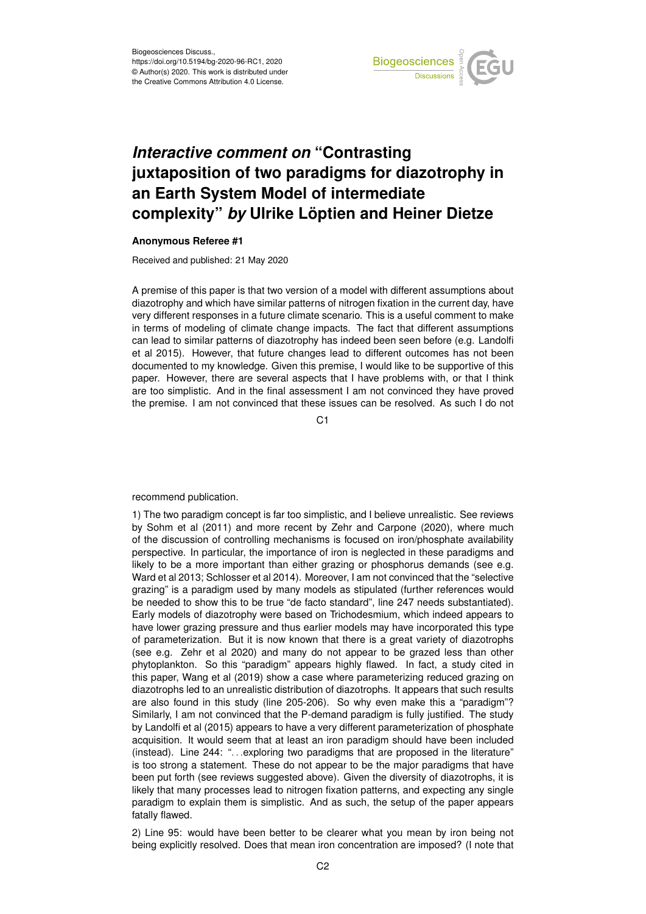

## *Interactive comment on* **"Contrasting juxtaposition of two paradigms for diazotrophy in an Earth System Model of intermediate complexity"** *by* **Ulrike Löptien and Heiner Dietze**

## **Anonymous Referee #1**

Received and published: 21 May 2020

A premise of this paper is that two version of a model with different assumptions about diazotrophy and which have similar patterns of nitrogen fixation in the current day, have very different responses in a future climate scenario. This is a useful comment to make in terms of modeling of climate change impacts. The fact that different assumptions can lead to similar patterns of diazotrophy has indeed been seen before (e.g. Landolfi et al 2015). However, that future changes lead to different outcomes has not been documented to my knowledge. Given this premise, I would like to be supportive of this paper. However, there are several aspects that I have problems with, or that I think are too simplistic. And in the final assessment I am not convinced they have proved the premise. I am not convinced that these issues can be resolved. As such I do not

C<sub>1</sub>

recommend publication.

1) The two paradigm concept is far too simplistic, and I believe unrealistic. See reviews by Sohm et al (2011) and more recent by Zehr and Carpone (2020), where much of the discussion of controlling mechanisms is focused on iron/phosphate availability perspective. In particular, the importance of iron is neglected in these paradigms and likely to be a more important than either grazing or phosphorus demands (see e.g. Ward et al 2013; Schlosser et al 2014). Moreover, I am not convinced that the "selective grazing" is a paradigm used by many models as stipulated (further references would be needed to show this to be true "de facto standard", line 247 needs substantiated). Early models of diazotrophy were based on Trichodesmium, which indeed appears to have lower grazing pressure and thus earlier models may have incorporated this type of parameterization. But it is now known that there is a great variety of diazotrophs (see e.g. Zehr et al 2020) and many do not appear to be grazed less than other phytoplankton. So this "paradigm" appears highly flawed. In fact, a study cited in this paper, Wang et al (2019) show a case where parameterizing reduced grazing on diazotrophs led to an unrealistic distribution of diazotrophs. It appears that such results are also found in this study (line 205-206). So why even make this a "paradigm"? Similarly, I am not convinced that the P-demand paradigm is fully justified. The study by Landolfi et al (2015) appears to have a very different parameterization of phosphate acquisition. It would seem that at least an iron paradigm should have been included (instead). Line 244: "... exploring two paradigms that are proposed in the literature" is too strong a statement. These do not appear to be the major paradigms that have been put forth (see reviews suggested above). Given the diversity of diazotrophs, it is likely that many processes lead to nitrogen fixation patterns, and expecting any single paradigm to explain them is simplistic. And as such, the setup of the paper appears fatally flawed.

2) Line 95: would have been better to be clearer what you mean by iron being not being explicitly resolved. Does that mean iron concentration are imposed? (I note that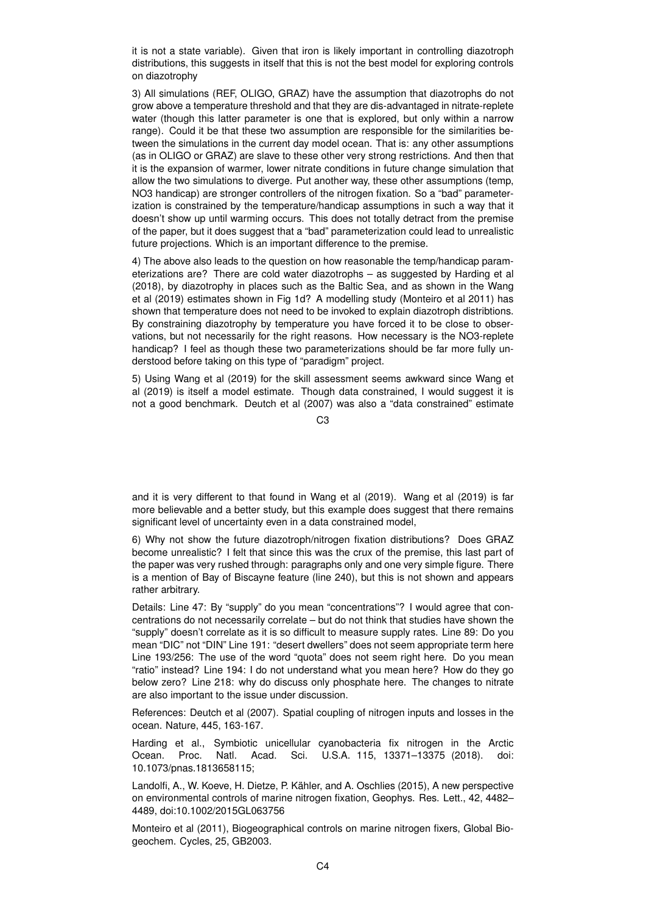it is not a state variable). Given that iron is likely important in controlling diazotroph distributions, this suggests in itself that this is not the best model for exploring controls on diazotrophy

3) All simulations (REF, OLIGO, GRAZ) have the assumption that diazotrophs do not grow above a temperature threshold and that they are dis-advantaged in nitrate-replete water (though this latter parameter is one that is explored, but only within a narrow range). Could it be that these two assumption are responsible for the similarities between the simulations in the current day model ocean. That is: any other assumptions (as in OLIGO or GRAZ) are slave to these other very strong restrictions. And then that it is the expansion of warmer, lower nitrate conditions in future change simulation that allow the two simulations to diverge. Put another way, these other assumptions (temp, NO3 handicap) are stronger controllers of the nitrogen fixation. So a "bad" parameterization is constrained by the temperature/handicap assumptions in such a way that it doesn't show up until warming occurs. This does not totally detract from the premise of the paper, but it does suggest that a "bad" parameterization could lead to unrealistic future projections. Which is an important difference to the premise.

4) The above also leads to the question on how reasonable the temp/handicap parameterizations are? There are cold water diazotrophs – as suggested by Harding et al (2018), by diazotrophy in places such as the Baltic Sea, and as shown in the Wang et al (2019) estimates shown in Fig 1d? A modelling study (Monteiro et al 2011) has shown that temperature does not need to be invoked to explain diazotroph distribtions. By constraining diazotrophy by temperature you have forced it to be close to observations, but not necessarily for the right reasons. How necessary is the NO3-replete handicap? I feel as though these two parameterizations should be far more fully understood before taking on this type of "paradigm" project.

5) Using Wang et al (2019) for the skill assessment seems awkward since Wang et al (2019) is itself a model estimate. Though data constrained, I would suggest it is not a good benchmark. Deutch et al (2007) was also a "data constrained" estimate

 $C3$ 

and it is very different to that found in Wang et al (2019). Wang et al (2019) is far more believable and a better study, but this example does suggest that there remains significant level of uncertainty even in a data constrained model,

6) Why not show the future diazotroph/nitrogen fixation distributions? Does GRAZ become unrealistic? I felt that since this was the crux of the premise, this last part of the paper was very rushed through: paragraphs only and one very simple figure. There is a mention of Bay of Biscayne feature (line 240), but this is not shown and appears rather arbitrary.

Details: Line 47: By "supply" do you mean "concentrations"? I would agree that concentrations do not necessarily correlate – but do not think that studies have shown the "supply" doesn't correlate as it is so difficult to measure supply rates. Line 89: Do you mean "DIC" not "DIN" Line 191: "desert dwellers" does not seem appropriate term here Line 193/256: The use of the word "quota" does not seem right here. Do you mean "ratio" instead? Line 194: I do not understand what you mean here? How do they go below zero? Line 218: why do discuss only phosphate here. The changes to nitrate are also important to the issue under discussion.

References: Deutch et al (2007). Spatial coupling of nitrogen inputs and losses in the ocean. Nature, 445, 163-167.

Harding et al., Symbiotic unicellular cyanobacteria fix nitrogen in the Arctic Ocean. Proc. Natl. Acad. Sci. U.S.A. 115, 13371–13375 (2018). doi: 10.1073/pnas.1813658115;

Landolfi, A., W. Koeve, H. Dietze, P. Kähler, and A. Oschlies (2015), A new perspective on environmental controls of marine nitrogen fixation, Geophys. Res. Lett., 42, 4482– 4489, doi:10.1002/2015GL063756

Monteiro et al (2011), Biogeographical controls on marine nitrogen fixers, Global Biogeochem. Cycles, 25, GB2003.